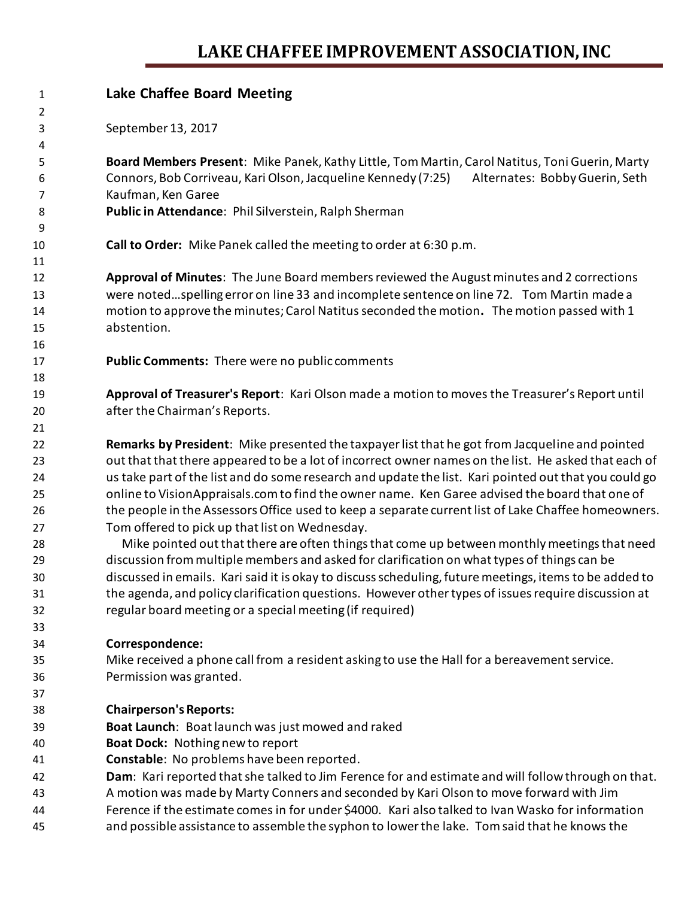## **LAKE CHAFFEE IMPROVEMENT ASSOCIATION, INC**

| 1  | <b>Lake Chaffee Board Meeting</b>                                                                      |
|----|--------------------------------------------------------------------------------------------------------|
| 2  |                                                                                                        |
| 3  | September 13, 2017                                                                                     |
| 4  |                                                                                                        |
| 5  | Board Members Present: Mike Panek, Kathy Little, Tom Martin, Carol Natitus, Toni Guerin, Marty         |
| 6  | Alternates: Bobby Guerin, Seth<br>Connors, Bob Corriveau, Kari Olson, Jacqueline Kennedy (7:25)        |
| 7  | Kaufman, Ken Garee                                                                                     |
| 8  | Public in Attendance: Phil Silverstein, Ralph Sherman                                                  |
| 9  |                                                                                                        |
| 10 | Call to Order: Mike Panek called the meeting to order at 6:30 p.m.                                     |
| 11 |                                                                                                        |
| 12 | Approval of Minutes: The June Board members reviewed the August minutes and 2 corrections              |
| 13 | were notedspelling error on line 33 and incomplete sentence on line 72. Tom Martin made a              |
| 14 | motion to approve the minutes; Carol Natitus seconded the motion. The motion passed with 1             |
| 15 | abstention.                                                                                            |
| 16 |                                                                                                        |
| 17 | <b>Public Comments:</b> There were no public comments                                                  |
| 18 |                                                                                                        |
| 19 | Approval of Treasurer's Report: Kari Olson made a motion to moves the Treasurer's Report until         |
| 20 | after the Chairman's Reports.                                                                          |
| 21 |                                                                                                        |
| 22 | Remarks by President: Mike presented the taxpayer list that he got from Jacqueline and pointed         |
| 23 | out that that there appeared to be a lot of incorrect owner names on the list. He asked that each of   |
| 24 | us take part of the list and do some research and update the list. Kari pointed out that you could go  |
| 25 | online to VisionAppraisals.com to find the owner name. Ken Garee advised the board that one of         |
| 26 | the people in the Assessors Office used to keep a separate current list of Lake Chaffee homeowners.    |
| 27 | Tom offered to pick up that list on Wednesday.                                                         |
| 28 | Mike pointed out that there are often things that come up between monthly meetings that need           |
| 29 | discussion from multiple members and asked for clarification on what types of things can be            |
| 30 | discussed in emails. Kari said it is okay to discuss scheduling, future meetings, items to be added to |
| 31 | the agenda, and policy clarification questions. However other types of issues require discussion at    |
| 32 | regular board meeting or a special meeting (if required)                                               |
| 33 |                                                                                                        |
| 34 | Correspondence:                                                                                        |
| 35 | Mike received a phone call from a resident asking to use the Hall for a bereavement service.           |
| 36 | Permission was granted.                                                                                |
| 37 |                                                                                                        |
| 38 | <b>Chairperson's Reports:</b>                                                                          |
| 39 | Boat Launch: Boat launch was just mowed and raked                                                      |
| 40 | <b>Boat Dock: Nothing new to report</b>                                                                |
| 41 | Constable: No problems have been reported.                                                             |
| 42 | Dam: Kari reported that she talked to Jim Ference for and estimate and will follow through on that.    |
| 43 | A motion was made by Marty Conners and seconded by Kari Olson to move forward with Jim                 |
|    |                                                                                                        |

- Ference if the estimate comes in for under \$4000. Kari also talked to Ivan Wasko for information
- and possible assistance to assemble the syphon to lower the lake. Tom said that he knows the